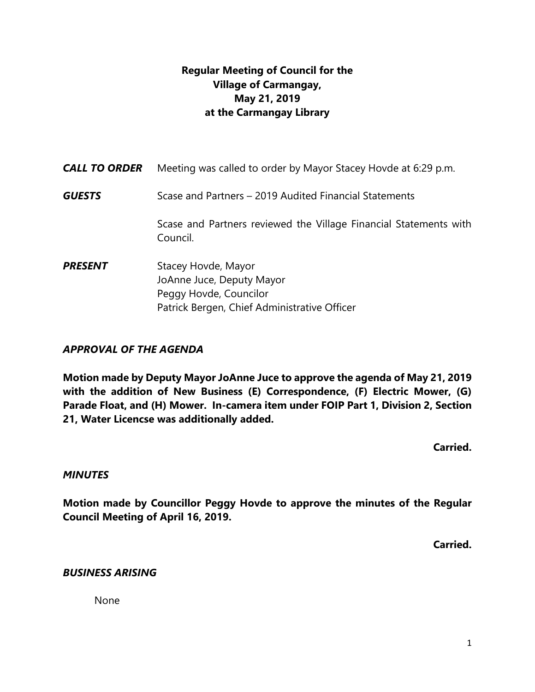# **Regular Meeting of Council for the Village of Carmangay, May 21, 2019 at the Carmangay Library**

| <b>CALL TO ORDER</b> | Meeting was called to order by Mayor Stacey Hovde at 6:29 p.m.                                                             |
|----------------------|----------------------------------------------------------------------------------------------------------------------------|
| <b>GUESTS</b>        | Scase and Partners - 2019 Audited Financial Statements                                                                     |
|                      | Scase and Partners reviewed the Village Financial Statements with<br>Council.                                              |
| <b>PRESENT</b>       | Stacey Hovde, Mayor<br>JoAnne Juce, Deputy Mayor<br>Peggy Hovde, Councilor<br>Patrick Bergen, Chief Administrative Officer |

### *APPROVAL OF THE AGENDA*

**Motion made by Deputy Mayor JoAnne Juce to approve the agenda of May 21, 2019 with the addition of New Business (E) Correspondence, (F) Electric Mower, (G) Parade Float, and (H) Mower. In-camera item under FOIP Part 1, Division 2, Section 21, Water Licencse was additionally added.**

**Carried.**

#### *MINUTES*

**Motion made by Councillor Peggy Hovde to approve the minutes of the Regular Council Meeting of April 16, 2019.**

**Carried.**

#### *BUSINESS ARISING*

None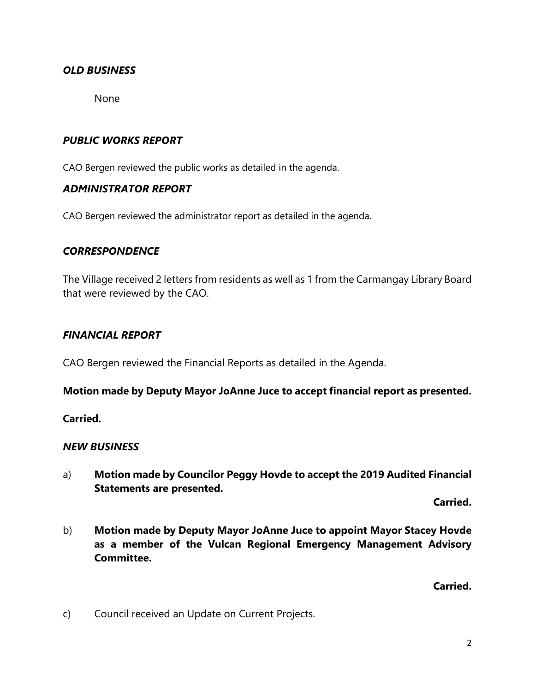### *OLD BUSINESS*

None

### *PUBLIC WORKS REPORT*

CAO Bergen reviewed the public works as detailed in the agenda.

#### *ADMINISTRATOR REPORT*

CAO Bergen reviewed the administrator report as detailed in the agenda.

#### *CORRESPONDENCE*

The Village received 2 letters from residents as well as 1 from the Carmangay Library Board that were reviewed by the CAO.

#### *FINANCIAL REPORT*

CAO Bergen reviewed the Financial Reports as detailed in the Agenda.

**Motion made by Deputy Mayor JoAnne Juce to accept financial report as presented.** 

**Carried.**

#### *NEW BUSINESS*

a) **Motion made by Councilor Peggy Hovde to accept the 2019 Audited Financial Statements are presented.**

**Carried.**

b) **Motion made by Deputy Mayor JoAnne Juce to appoint Mayor Stacey Hovde as a member of the Vulcan Regional Emergency Management Advisory Committee.**

**Carried.**

c) Council received an Update on Current Projects.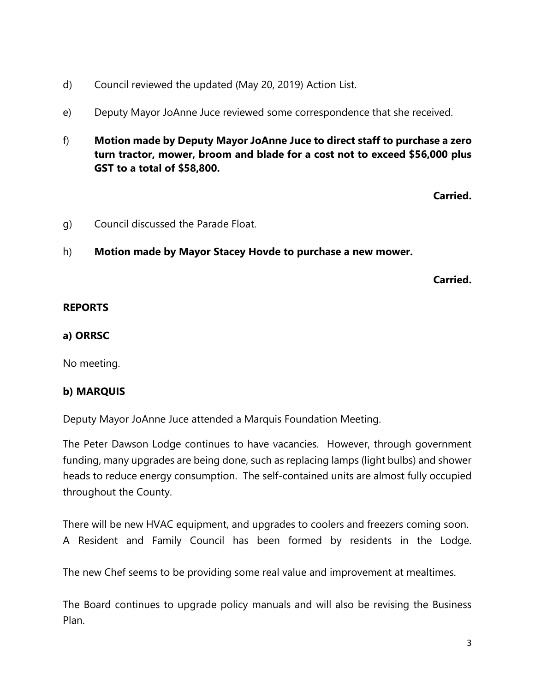- d) Council reviewed the updated (May 20, 2019) Action List.
- e) Deputy Mayor JoAnne Juce reviewed some correspondence that she received.
- f) **Motion made by Deputy Mayor JoAnne Juce to direct staff to purchase a zero turn tractor, mower, broom and blade for a cost not to exceed \$56,000 plus GST to a total of \$58,800.**

**Carried.**

- g) Council discussed the Parade Float.
- h) **Motion made by Mayor Stacey Hovde to purchase a new mower.**

**Carried.**

### **REPORTS**

### **a) ORRSC**

No meeting.

## **b) MARQUIS**

Deputy Mayor JoAnne Juce attended a Marquis Foundation Meeting.

The Peter Dawson Lodge continues to have vacancies. However, through government funding, many upgrades are being done, such as replacing lamps (light bulbs) and shower heads to reduce energy consumption. The self-contained units are almost fully occupied throughout the County.

There will be new HVAC equipment, and upgrades to coolers and freezers coming soon. A Resident and Family Council has been formed by residents in the Lodge.

The new Chef seems to be providing some real value and improvement at mealtimes.

The Board continues to upgrade policy manuals and will also be revising the Business Plan.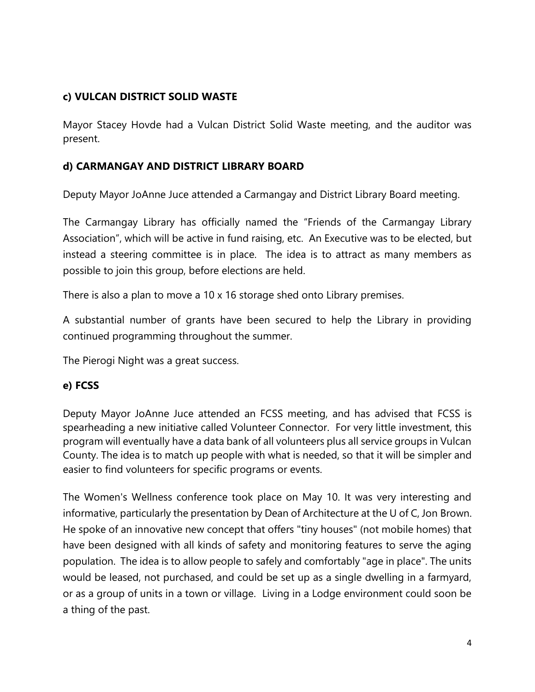## **c) VULCAN DISTRICT SOLID WASTE**

Mayor Stacey Hovde had a Vulcan District Solid Waste meeting, and the auditor was present.

## **d) CARMANGAY AND DISTRICT LIBRARY BOARD**

Deputy Mayor JoAnne Juce attended a Carmangay and District Library Board meeting.

The Carmangay Library has officially named the "Friends of the Carmangay Library Association", which will be active in fund raising, etc. An Executive was to be elected, but instead a steering committee is in place. The idea is to attract as many members as possible to join this group, before elections are held.

There is also a plan to move a 10 x 16 storage shed onto Library premises.

A substantial number of grants have been secured to help the Library in providing continued programming throughout the summer.

The Pierogi Night was a great success.

### **e) FCSS**

Deputy Mayor JoAnne Juce attended an FCSS meeting, and has advised that FCSS is spearheading a new initiative called Volunteer Connector. For very little investment, this program will eventually have a data bank of all volunteers plus all service groups in Vulcan County. The idea is to match up people with what is needed, so that it will be simpler and easier to find volunteers for specific programs or events.

The Women's Wellness conference took place on May 10. It was very interesting and informative, particularly the presentation by Dean of Architecture at the U of C, Jon Brown. He spoke of an innovative new concept that offers "tiny houses" (not mobile homes) that have been designed with all kinds of safety and monitoring features to serve the aging population. The idea is to allow people to safely and comfortably "age in place". The units would be leased, not purchased, and could be set up as a single dwelling in a farmyard, or as a group of units in a town or village. Living in a Lodge environment could soon be a thing of the past.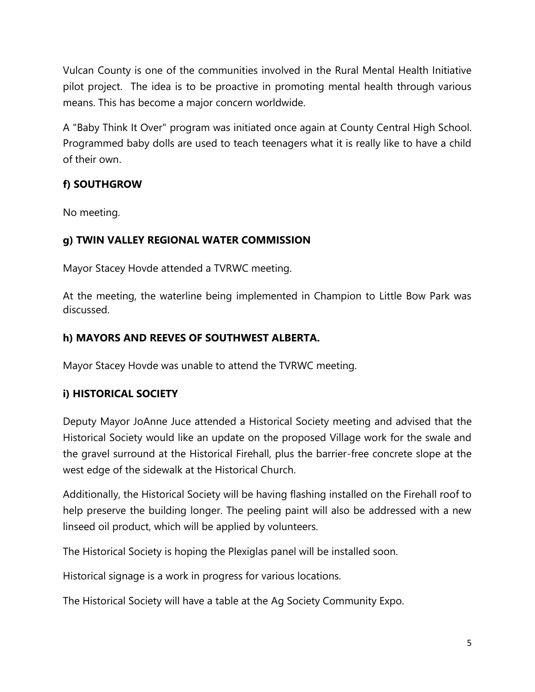Vulcan County is one of the communities involved in the Rural Mental Health Initiative pilot project. The idea is to be proactive in promoting mental health through various means. This has become a major concern worldwide.

A "Baby Think It Over" program was initiated once again at County Central High School. Programmed baby dolls are used to teach teenagers what it is really like to have a child of their own.

# **f) SOUTHGROW**

No meeting.

# **g) TWIN VALLEY REGIONAL WATER COMMISSION**

Mayor Stacey Hovde attended a TVRWC meeting.

At the meeting, the waterline being implemented in Champion to Little Bow Park was discussed.

# **h) MAYORS AND REEVES OF SOUTHWEST ALBERTA.**

Mayor Stacey Hovde was unable to attend the TVRWC meeting.

## **i) HISTORICAL SOCIETY**

Deputy Mayor JoAnne Juce attended a Historical Society meeting and advised that the Historical Society would like an update on the proposed Village work for the swale and the gravel surround at the Historical Firehall, plus the barrier-free concrete slope at the west edge of the sidewalk at the Historical Church.

Additionally, the Historical Society will be having flashing installed on the Firehall roof to help preserve the building longer. The peeling paint will also be addressed with a new linseed oil product, which will be applied by volunteers.

The Historical Society is hoping the Plexiglas panel will be installed soon.

Historical signage is a work in progress for various locations.

The Historical Society will have a table at the Ag Society Community Expo.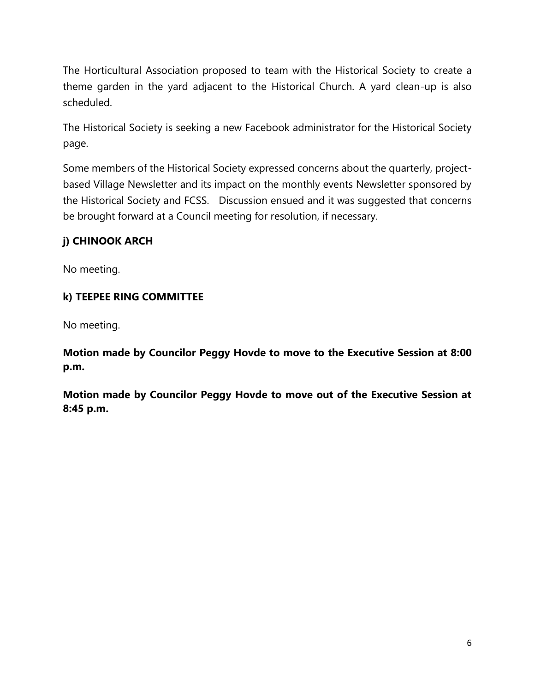The Horticultural Association proposed to team with the Historical Society to create a theme garden in the yard adjacent to the Historical Church. A yard clean-up is also scheduled.

The Historical Society is seeking a new Facebook administrator for the Historical Society page.

Some members of the Historical Society expressed concerns about the quarterly, projectbased Village Newsletter and its impact on the monthly events Newsletter sponsored by the Historical Society and FCSS. Discussion ensued and it was suggested that concerns be brought forward at a Council meeting for resolution, if necessary.

# **j) CHINOOK ARCH**

No meeting.

## **k) TEEPEE RING COMMITTEE**

No meeting.

**Motion made by Councilor Peggy Hovde to move to the Executive Session at 8:00 p.m.**

**Motion made by Councilor Peggy Hovde to move out of the Executive Session at 8:45 p.m.**